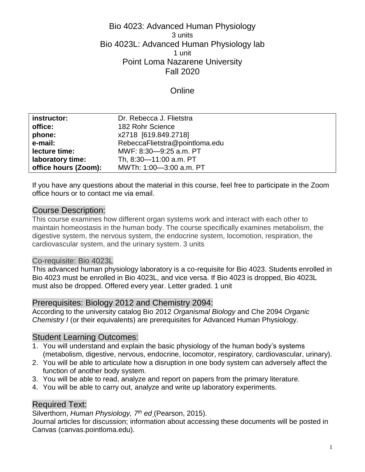## Bio 4023: Advanced Human Physiology 3 units Bio 4023L: Advanced Human Physiology lab 1 unit Point Loma Nazarene University Fall 2020

### **Online**

| instructor:          | Dr. Rebecca J. Flietstra       |
|----------------------|--------------------------------|
| office:              | 182 Rohr Science               |
| phone:               | x2718 [619.849.2718]           |
| e-mail:              | RebeccaFlietstra@pointloma.edu |
| lecture time:        | MWF: 8:30-9:25 a.m. PT         |
| laboratory time:     | Th, 8:30-11:00 a.m. PT         |
| office hours (Zoom): | MWTh: 1:00-3:00 a.m. PT        |

If you have any questions about the material in this course, feel free to participate in the Zoom office hours or to contact me via email.

### Course Description:

This course examines how different organ systems work and interact with each other to maintain homeostasis in the human body. The course specifically examines metabolism, the digestive system, the nervous system, the endocrine system, locomotion, respiration, the cardiovascular system, and the urinary system. 3 units

#### Co-requisite: Bio 4023L

This advanced human physiology laboratory is a co-requisite for Bio 4023. Students enrolled in Bio 4023 must be enrolled in Bio 4023L, and vice versa. If Bio 4023 is dropped, Bio 4023L must also be dropped. Offered every year. Letter graded. 1 unit

### Prerequisites: Biology 2012 and Chemistry 2094:

According to the university catalog Bio 2012 *Organismal Biology* and Che 2094 *Organic Chemistry I* (or their equivalents) are prerequisites for Advanced Human Physiology.

## Student Learning Outcomes:

- 1. You will understand and explain the basic physiology of the human body's systems (metabolism, digestive, nervous, endocrine, locomotor, respiratory, cardiovascular, urinary).
- 2. You will be able to articulate how a disruption in one body system can adversely affect the function of another body system.
- 3. You will be able to read, analyze and report on papers from the primary literature.
- 4. You will be able to carry out, analyze and write up laboratory experiments.

### Required Text:

Silverthorn, *Human Physiology, 7th ed* (Pearson, 2015).

Journal articles for discussion; information about accessing these documents will be posted in Canvas (canvas.pointloma.edu).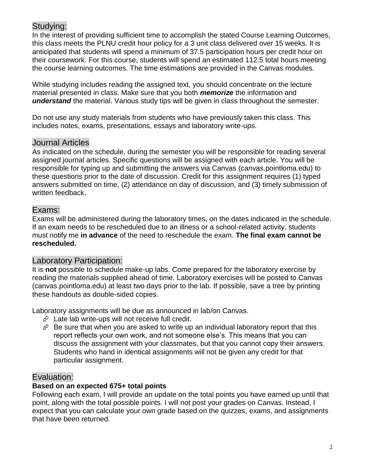## Studying:

In the interest of providing sufficient time to accomplish the stated Course Learning Outcomes, this class meets the PLNU credit hour policy for a 3 unit class delivered over 15 weeks. It is anticipated that students will spend a minimum of 37.5 participation hours per credit hour on their coursework. For this course, students will spend an estimated 112.5 total hours meeting the course learning outcomes. The time estimations are provided in the Canvas modules.

While studying includes reading the assigned text, you should concentrate on the lecture material presented in class. Make sure that you both *memorize* the information and *understand* the material. Various study tips will be given in class throughout the semester.

Do not use any study materials from students who have previously taken this class. This includes notes, exams, presentations, essays and laboratory write-ups.

## Journal Articles

As indicated on the schedule, during the semester you will be responsible for reading several assigned journal articles. Specific questions will be assigned with each article. You will be responsible for typing up and submitting the answers via Canvas (canvas.pointloma.edu) to these questions prior to the date of discussion. Credit for this assignment requires (1) typed answers submitted on time, (2) attendance on day of discussion, and (3) timely submission of written feedback.

## Exams:

Exams will be administered during the laboratory times, on the dates indicated in the schedule. If an exam needs to be rescheduled due to an illness or a school-related activity, students must notify me **in advance** of the need to reschedule the exam. **The final exam cannot be rescheduled.**

## Laboratory Participation:

It is **not** possible to schedule make-up labs. Come prepared for the laboratory exercise by reading the materials supplied ahead of time. Laboratory exercises will be posted to Canvas (canvas.pointloma.edu) at least two days prior to the lab. If possible, save a tree by printing these handouts as double-sided copies.

Laboratory assignments will be due as announced in lab/on Canvas.

- $\hat{\varphi}$  Late lab write-ups will not receive full credit.
- $\hat{\varphi}$  Be sure that when you are asked to write up an individual laboratory report that this report reflects your own work, and not someone else's. This means that you can discuss the assignment with your classmates, but that you cannot copy their answers. Students who hand in identical assignments will not be given any credit for that particular assignment.

## Evaluation:

### **Based on an expected 675+ total points**

Following each exam, I will provide an update on the total points you have earned up until that point, along with the total possible points. I will not post your grades on Canvas. Instead, I expect that you can calculate your own grade based on the quizzes, exams, and assignments that have been returned.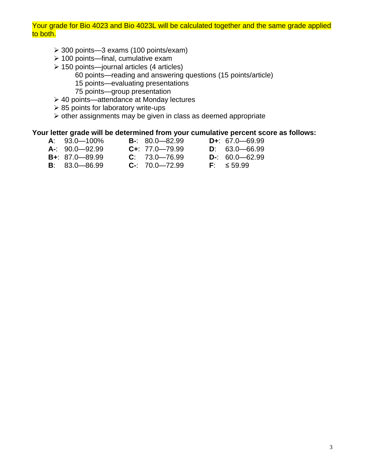#### Your grade for Bio 4023 and Bio 4023L will be calculated together and the same grade applied to both.

- 300 points—3 exams (100 points/exam)
- $\geq 100$  points—final, cumulative exam
- $\geq 150$  points—journal articles (4 articles)
	- 60 points—reading and answering questions (15 points/article)
	- 15 points—evaluating presentations
	- 75 points—group presentation
- 40 points—attendance at Monday lectures
- $\geq$  85 points for laboratory write-ups
- $\triangleright$  other assignments may be given in class as deemed appropriate

#### **Your letter grade will be determined from your cumulative percent score as follows:**

- **A**: 93.0—100% **B-**: 80.0—82.99 **D+**: 67.0—69.99 **A-**: 90.0—92.99 **C+**: 77.0—79.99 **D**: 63.0—66.99 **B+**: 87.0—89.99 **C**: 73.0—76.99 **D-**: 60.0—62.99 **B**: 83.0—86.99 **C-**: 70.0—72.99 **F**: ≤ 59.99
	-
	-
	-
- 
- 
-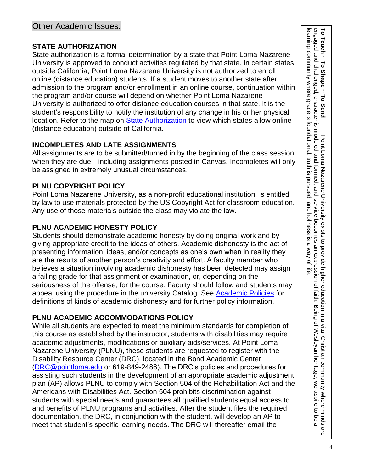## **STATE AUTHORIZATION**

State authorization is a formal determination by a state that Point Loma Nazarene University is approved to conduct activities regulated by that state. In certain states outside California, Point Loma Nazarene University is not authorized to enroll online (distance education) students. If a student moves to another state after admission to the program and/or enrollment in an online course, continuation within the program and/or course will depend on whether Point Loma Nazarene University is authorized to offer distance education courses in that state. It is the student's responsibility to notify the institution of any change in his or her physical location. Refer to the map on [State Authorization](https://www.pointloma.edu/offices/office-institutional-effectiveness-research/disclosures) to view which states allow online (distance education) outside of California.

# **INCOMPLETES AND LATE ASSIGNMENTS**

All assignments are to be submitted/turned in by the beginning of the class session when they are due—including assignments posted in Canvas. Incompletes will only be assigned in extremely unusual circumstances.

# **PLNU COPYRIGHT POLICY**

Point Loma Nazarene University, as a non-profit educational institution, is entitled by law to use materials protected by the US Copyright Act for classroom education. Any use of those materials outside the class may violate the law.

# **PLNU ACADEMIC HONESTY POLICY**

Students should demonstrate academic honesty by doing original work and by giving appropriate credit to the ideas of others. Academic dishonesty is the act of presenting information, ideas, and/or concepts as one's own when in reality they are the results of another person's creativity and effort. A faculty member who believes a situation involving academic dishonesty has been detected may assign a failing grade for that assignment or examination, or, depending on the seriousness of the offense, for the course. Faculty should follow and students may appeal using the procedure in the university Catalog. See [Academic Policies](https://catalog.pointloma.edu/content.php?catoid=41&navoid=2435#Academic_Honesty) for definitions of kinds of academic dishonesty and for further policy information.

# **PLNU ACADEMIC ACCOMMODATIONS POLICY**

While all students are expected to meet the minimum standards for completion of this course as established by the instructor, students with disabilities may require academic adjustments, modifications or auxiliary aids/services. At Point Loma Nazarene University (PLNU), these students are requested to register with the Disability Resource Center (DRC), located in the Bond Academic Center [\(DRC@pointloma.edu](mailto:DRC@pointloma.edu) or 619-849-2486). The DRC's policies and procedures for assisting such students in the development of an appropriate academic adjustment plan (AP) allows PLNU to comply with Section 504 of the Rehabilitation Act and the Americans with Disabilities Act. Section 504 prohibits discrimination against students with special needs and guarantees all qualified students equal access to and benefits of PLNU programs and activities. After the student files the required documentation, the DRC, in conjunction with the student, will develop an AP to meet that student's specific learning needs. The DRC will thereafter email the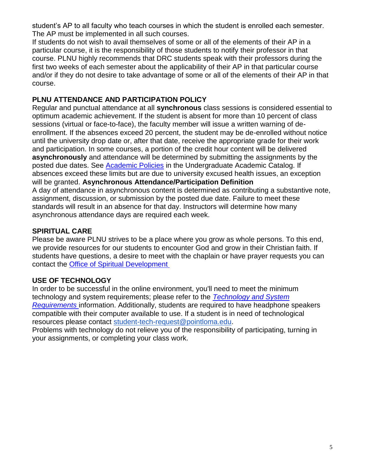student's AP to all faculty who teach courses in which the student is enrolled each semester. The AP must be implemented in all such courses.

If students do not wish to avail themselves of some or all of the elements of their AP in a particular course, it is the responsibility of those students to notify their professor in that course. PLNU highly recommends that DRC students speak with their professors during the first two weeks of each semester about the applicability of their AP in that particular course and/or if they do not desire to take advantage of some or all of the elements of their AP in that course.

### **PLNU ATTENDANCE AND PARTICIPATION POLICY**

Regular and punctual attendance at all **synchronous** class sessions is considered essential to optimum academic achievement. If the student is absent for more than 10 percent of class sessions (virtual or face-to-face), the faculty member will issue a written warning of deenrollment. If the absences exceed 20 percent, the student may be de-enrolled without notice until the university drop date or, after that date, receive the appropriate grade for their work and participation. In some courses, a portion of the credit hour content will be delivered **asynchronously** and attendance will be determined by submitting the assignments by the posted due dates. See [Academic Policies](https://catalog.pointloma.edu/content.php?catoid=46&navoid=2650#Class_Attendance) in the Undergraduate Academic Catalog. If absences exceed these limits but are due to university excused health issues, an exception will be granted. **Asynchronous Attendance/Participation Definition** A day of attendance in asynchronous content is determined as contributing a substantive note, assignment, discussion, or submission by the posted due date. Failure to meet these standards will result in an absence for that day. Instructors will determine how many asynchronous attendance days are required each week.

## **SPIRITUAL CARE**

Please be aware PLNU strives to be a place where you grow as whole persons. To this end, we provide resources for our students to encounter God and grow in their Christian faith. If students have questions, a desire to meet with the chaplain or have prayer requests you can contact the [Office of Spiritual Development](https://www.pointloma.edu/offices/spiritual-development)

## **USE OF TECHNOLOGY**

In order to be successful in the online environment, you'll need to meet the minimum technology and system requirements; please refer to the *Technology [and System](https://help.pointloma.edu/TDClient/1808/Portal/KB/ArticleDet?ID=108349)  [Requirements](https://help.pointloma.edu/TDClient/1808/Portal/KB/ArticleDet?ID=108349)* information. Additionally, students are required to have headphone speakers compatible with their computer available to use. If a student is in need of technological resources please contact [student-tech-request@pointloma.edu.](mailto:student-tech-request@pointloma.edu)

Problems with technology do not relieve you of the responsibility of participating, turning in your assignments, or completing your class work.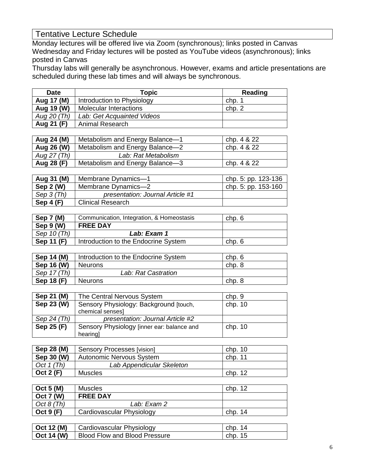# Tentative Lecture Schedule

Monday lectures will be offered live via Zoom (synchronous); links posted in Canvas Wednesday and Friday lectures will be posted as YouTube videos (asynchronous); links posted in Canvas

Thursday labs will generally be asynchronous. However, exams and article presentations are scheduled during these lab times and will always be synchronous.

| Date        | <b>Topic</b>                  | Reading |
|-------------|-------------------------------|---------|
| Aug 17 (M)  | Introduction to Physiology    | chp. 1  |
| Aug 19 (W)  | <b>Molecular Interactions</b> | chp. 2  |
| Aug 20 (Th) | Lab: Get Acquainted Videos    |         |
| Aug 21 (F)  | Animal Research               |         |

| Aug 24 (M)  | Metabolism and Energy Balance-1 | chp. 4 & 22 |
|-------------|---------------------------------|-------------|
| Aug 26 (W)  | Metabolism and Energy Balance-2 | chp. 4 & 22 |
| Aug 27 (Th) | Lab: Rat Metabolism             |             |
| Aug 28 (F)  | Metabolism and Energy Balance-3 | chp. 4 & 22 |

| Aug 31 (M)  | Membrane Dynamics-1              | chp. 5: pp. 123-136   |
|-------------|----------------------------------|-----------------------|
| Sep 2 (W)   | Membrane Dynamics-2              | chp. 5: pp. $153-160$ |
| Sep $3(Th)$ | presentation: Journal Article #1 |                       |
| Sep $4(F)$  | <b>Clinical Research</b>         |                       |

| Sep 7 (M)   | Communication, Integration, & Homeostasis | chp. 6 |
|-------------|-------------------------------------------|--------|
| Sep $9(N)$  | <b>FREE DAY</b>                           |        |
| Sep 10 (Th) | Lab: Exam 1                               |        |
| Sep 11 (F)  | Introduction to the Endocrine System      | chp. 6 |

| Sep 14 (M)  | Introduction to the Endocrine System | chp. 6 |
|-------------|--------------------------------------|--------|
| Sep 16 (W)  | <b>Neurons</b>                       | chp. 8 |
| Sep 17 (Th) | Lab: Rat Castration                  |        |
| Sep 18 (F)  | <b>Neurons</b>                       | chp. 8 |

| Sep 21 (M)  | The Central Nervous System                 | chp.9     |
|-------------|--------------------------------------------|-----------|
| Sep 23 (W)  | Sensory Physiology: Background [touch,     | chp. 10   |
|             | chemical senses]                           |           |
| Sep 24 (Th) | presentation: Journal Article #2           |           |
| Sep 25 (F)  | Sensory Physiology [inner ear: balance and | chp. $10$ |
|             | hearing                                    |           |

| Sep 28 (M)   | Sensory Processes [vision] | chp. 10   |
|--------------|----------------------------|-----------|
| Sep 30 (W)   | Autonomic Nervous System   | chp. $11$ |
| Oct $1$ (Th) | Lab Appendicular Skeleton  |           |
| Oct 2 (F)    | <b>Muscles</b>             | chp. 12   |

| Oct 5 (M)        | Muscles                   | chp. 12 |
|------------------|---------------------------|---------|
| <b>Oct 7 (W)</b> | <b>FREE DAY</b>           |         |
| Oct 8 (Th)       | Lab: Exam 2               |         |
| Oct $9(F)$       | Cardiovascular Physiology | chp. 14 |

| $\overline{O}$ Oct 12 (M) | Cardiovascular Physiology     | chp. 14 |
|---------------------------|-------------------------------|---------|
| Oct 14 (W)                | Blood Flow and Blood Pressure | chp. 15 |